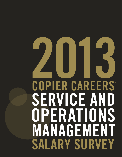# **2013 COPIER CAREERS ® SERVICE AND MANAGEMENT SALARY SURVEY OPERATIONS**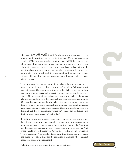As we are all well aware, the past few years have been a time of swift transition for the copier industry. While managed print services (MPS) and managed network services (MNS) have created an abundance of opportunities for dealerships, they have also caused their share of headaches for the people who have been tasked with implementing these new sales and service models. For better or for worse, the new models have forced us all to take a good hard look at our revenue streams. The result of this introspection? A full-blown, industry-wide identity crisis.

**1**

"Over the past few years, many of our clients have expressed uncertainty about where the industry is headed," says Paul Schwartz, president of Copier Careers, a recruiting firm that helps office technology dealers find experienced sales, service, management, and back office staff. "On one side of the debate are people who believe the copier channel is shrinking now that the machines have become a commodity. On the other side are people who believe the copier channel is growing, because it's not just about the machines anymore—it's about managing entire ecosystems of networked devices. Generally speaking, the problem isn't just that we don't know where we're headed in the future—it's that we aren't sure where we're at today."

In light of these uncertainties, the questions we end up asking ourselves have become downright existential. Is copier sales and service still a unique industry? Or are we just a finger on the hand of IT? Now that our business has changed in every conceivable way, who are we? And what should we call ourselves? Given the breadth of our services, is "copier dealership" an obsolete term? And then there's the most pressing question of all, at least for the countless dealerships whose current managers are nearing retirement:



Who the heck is going to run the service department?

Copier Career

®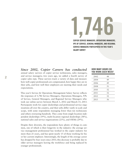**COPIER SERVICE MANAGERS, OPERATIONS MANAGERS, VPS OF SERVICE, GENERAL MANAGERS, AND REGIONAL SERVICE MANAGERS PARTICIPATED IN THIS YEAR'S SALARY SURVEY**

**1,746**

*Since 2002, Copier Careers has conducted*  annual salary surveys of copier service technicians, sales managers, and service managers; two years ago, we added a fourth survey of copier sales reps. These surveys track a variety of data and measure how well copier professionals are compensated, how happy they are in their jobs, and how well their employers are meeting their needs and expectations.

This year's Service & Operations Management Salary Survey reflects the responses of 1,746 Service Managers, Operations Managers, VPs of Service, General Managers, and Regional Service Managers who took our online survey between March 1, 2012 and March 15, 2013. Participants work for copier dealerships and professional service organizations all over the country, and their jobs differ vastly in scale and scope, with some respondents managing fewer than ten technicians and others overseeing hundreds. They come from single-location independent dealerships (19%), multi-location regional dealerships (38%), national sales and service organizations (23%), and OEMs (29%).

Despite their diversity, the respondents have plenty of things in common, one of which is their longevity in the industry: the average service management professional has worked in the copier industry for more than 21 years, and has spent nearly 15 of those working for his or her current employer. Interestingly, the length of the average career has dropped by four years since 2011; this decrease is probably due to older service managers leaving the workforce and being replaced by younger professionals.

#### **HOW MANY HOURS DO YOU WORK EACH WEEK?**

| 2002 | 48 |
|------|----|
| 2004 | 49 |
| 2006 | 49 |
| 2008 | 51 |
| 2010 | 52 |
| 2011 | 52 |
| 2012 | 52 |
| 2013 | 56 |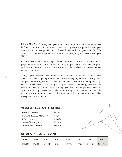*Over the past year,* average base salary for all job titles has increased modestly, from \$78,428 to \$80,572. When broken down by job title, Operations Managers earn the most on average (\$85,648), followed by General Managers (\$85,288), VPs of Service (\$80,642), Regional Service Managers (\$78,002), and Service Managers (\$73,282).

In normal economic times, average salaries tend to rise a little each year. But due to projected demographic shifts for this position, it's possible that the next few years will see a decrease in average compensation as older workers are replaced by less tenured candidates.

"Many copier dealerships are hoping to hire new service managers at a much lower salary than they are paying their current service managers, who are typically being compensated at a higher rate because of their long tenure with the company," says Jessica Crowley, Head of Recruiting for Copier Careers. "Frequently, dealerships believe that replacing a more experienced employee with someone younger creates an opportunity to pay a lower salary. The reality, though, is that people with the right mix of technical and management skills are extremely difficult to find, so the market is very much in their favor."

#### **AVERAGE 2013 BASE SALARY BY JOB TITLE**

| Service Manager                 | \$73,282 |
|---------------------------------|----------|
| <b>Regional Service Manager</b> | \$78,002 |
| <b>VP</b> of Service            | \$80,642 |
| <b>General Manager</b>          | \$85,288 |
| <b>Operations Manager</b>       | \$85,648 |



#### **AVERAGE BASE SALARY (ALL JOB TITLES)**

| 2002 | 2004 | 2006                                                           | 2008 | 2010 | 2011 | 2012 | 2013     |
|------|------|----------------------------------------------------------------|------|------|------|------|----------|
|      |      | \$69,025 \$69,220 \$70,547 \$75,554 \$75,795 \$77,237 \$78,428 |      |      |      |      | \$80,572 |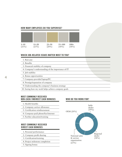#### **HOW MANY EMPLOYEES DO YOU SUPERVISE?**



#### **WHICH JOB-RELATED ISSUES MATTER MOST TO YOU?**

- 1. Base pay
- 2. Benefits
- 3. Financial stability of company
- 4. Company's understanding of the importance of IT
- 5. Job stability
- 6. Bonus opportunities
- 7. Company-provided laptop/PC
- 8. Prestige/reputation of company
- 9. Understanding the company's business strategy
- 10. Seeing how my work helps achieve company goals

#### **MOST COMMONLY RECEIVED NON-CASH / INDIRECT CASH BONUSES**

- 1. Health benefits
- 2. Company car/car allowance
- 3. Certification reimbursement
- 4. Company-paid phone/fax/internet
- 5. Further education/training

#### **MOST COMMONLY RECEIVED DIRECT CASH BONUSES**

- 1. Personal performance
- 2. Company profit sharing
- 3. Certification/training
- 4. Project milestone completion
- 5. Signing bonus

#### **WHO DO YOU WORK FOR?**

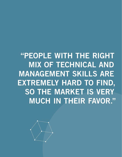**"PEOPLE WITH THE RIGHT MIX OF TECHNICAL AND MANAGEMENT SKILLS ARE EXTREMELY HARD TO FIND, SO THE MARKET IS VERY MUCH IN THEIR FAVOR."**

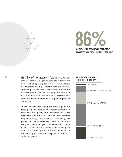

## **86 BLOWER SERVICE AND OPERATE OF THE COPIER SERVICE AND OPERATIONS**

**MANAGERS WHO TOOK OUR SURVEY ARE MALE**

**6** *As the older generation* of break/fix service managers has begun to leave the industry, the number of job openings for copier service managers has increased steadily. Unfortunately, service management positions have always been difficult for dealerships to fill, and it has only gotten harder in recent months, as the demand for new service managers is quickly outstripping the supply of qualified candidates.

> "It can be very challenging for dealerships to fill these positions, because the people currently in these roles have plenty of management and leadership experience, but their IT skill sets are not where they should be," says Crowley. "Alternately, the people with highly-developed IT skill sets don't typically have the management experience we would like to see. At this point, there's really no happy medium—it's extremely rare to find an individual in this industry who has equal experience in both IT and management."

#### **WHAT IS YOUR HIGHEST LEVEL OF EDUCATION?**

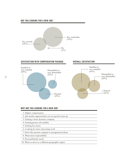#### **ARE YOU LOOKING FOR A NEW JOB?**



#### **SATISFACTION WITH COMPENSATION PACKAGE OVERALL SATISFACTION**





### **WHY ARE YOU LOOKING FOR A NEW JOB?**

- 1. Higher compensation
- 2. Job market opportunities are too good to pass up
- 3. Seeking a more dynamic company
- 4. Seeking greater job stability
- 5. Seeking less stress
- 6. Looking for more interesting work
- 7. Don't like present company's management/culture
- 8. Want more responsibility
- 9. Personal/family needs
- 10. Want to move to a different geographic region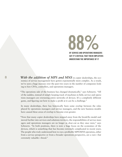

**8** *With the addition of MPS and MNS* in copier dealerships, the economics of service management have gotten exponentially more complex. As a result, we've seen a huge increase over the past two years in the number of companies looking to hire CFOs, controllers, and operations managers.

> "The operations side of the business has changed dramatically," says Schwartz. "All of the sudden, instead of simply keeping track of machines in field, service and operations managers are overseeing entire networks of devices. It's a completely different game, and figuring out how to make a profit at it can be a challenge."

> In many dealerships, there has historically been some overlap between the roles played by operations managers and service managers, and the new business models have caused these areas of overlap to become even greater.

> "Now that many copier dealerships have stepped away from the break/fix model and moved further into services and solutions territory, the responsibilities of service managers and operations managers are no longer as clear-cut as they once were," says Schwartz. "In both positions, there is now a huge focus on the economics of the devices, which is something that has become extremely complicated in recent years. The people who truly understand how to run a profitable MPS/MNS operation, either from a service perspective or from a broader operations perspective, are a rare—but extremely valuable—breed."